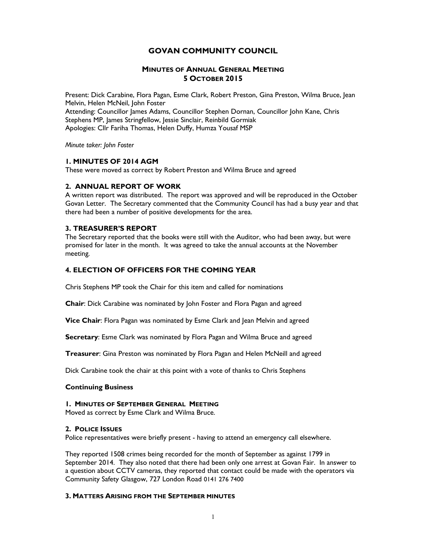# GOVAN COMMUNITY COUNCIL

# MINUTES OF ANNUAL GENERAL MEETING 5 OCTOBER 2015

Present: Dick Carabine, Flora Pagan, Esme Clark, Robert Preston, Gina Preston, Wilma Bruce, Jean Melvin, Helen McNeil, John Foster Attending: Councillor James Adams, Councillor Stephen Dornan, Councillor John Kane, Chris Stephens MP, James Stringfellow, Jessie Sinclair, Reinbild Gormiak Apologies: Cllr Fariha Thomas, Helen Duffy, Humza Yousaf MSP

Minute taker: John Foster

# 1. MINUTES OF 2014 AGM

These were moved as correct by Robert Preston and Wilma Bruce and agreed

# 2. ANNUAL REPORT OF WORK

A written report was distributed. The report was approved and will be reproduced in the October Govan Letter. The Secretary commented that the Community Council has had a busy year and that there had been a number of positive developments for the area.

# 3. TREASURER'S REPORT

The Secretary reported that the books were still with the Auditor, who had been away, but were promised for later in the month. It was agreed to take the annual accounts at the November meeting.

# 4. ELECTION OF OFFICERS FOR THE COMING YEAR

Chris Stephens MP took the Chair for this item and called for nominations

Chair: Dick Carabine was nominated by John Foster and Flora Pagan and agreed

Vice Chair: Flora Pagan was nominated by Esme Clark and Jean Melvin and agreed

Secretary: Esme Clark was nominated by Flora Pagan and Wilma Bruce and agreed

Treasurer: Gina Preston was nominated by Flora Pagan and Helen McNeill and agreed

Dick Carabine took the chair at this point with a vote of thanks to Chris Stephens

### Continuing Business

### 1. MINUTES OF SEPTEMBER GENERAL MEETING

Moved as correct by Esme Clark and Wilma Bruce.

### 2. POLICE ISSUES

Police representatives were briefly present - having to attend an emergency call elsewhere.

They reported 1508 crimes being recorded for the month of September as against 1799 in September 2014. They also noted that there had been only one arrest at Govan Fair. In answer to a question about CCTV cameras, they reported that contact could be made with the operators via Community Safety Glasgow, 727 London Road 0141 276 7400

### 3. MATTERS ARISING FROM THE SEPTEMBER MINUTES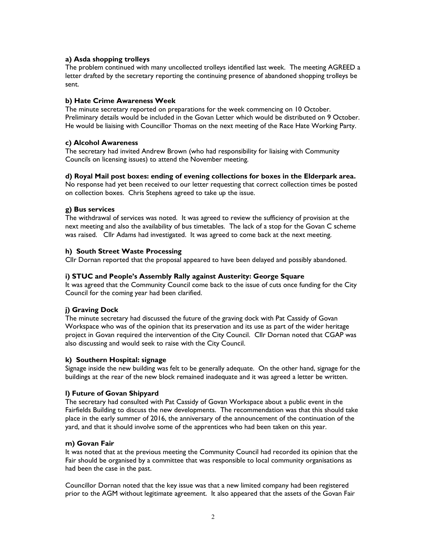# a) Asda shopping trolleys

The problem continued with many uncollected trolleys identified last week. The meeting AGREED a letter drafted by the secretary reporting the continuing presence of abandoned shopping trolleys be sent.

# b) Hate Crime Awareness Week

The minute secretary reported on preparations for the week commencing on 10 October. Preliminary details would be included in the Govan Letter which would be distributed on 9 October. He would be liaising with Councillor Thomas on the next meeting of the Race Hate Working Party.

# c) Alcohol Awareness

The secretary had invited Andrew Brown (who had responsibility for liaising with Community Councils on licensing issues) to attend the November meeting.

# d) Royal Mail post boxes: ending of evening collections for boxes in the Elderpark area.

No response had yet been received to our letter requesting that correct collection times be posted on collection boxes. Chris Stephens agreed to take up the issue.

# g) Bus services

The withdrawal of services was noted. It was agreed to review the sufficiency of provision at the next meeting and also the availability of bus timetables. The lack of a stop for the Govan C scheme was raised. Cllr Adams had investigated. It was agreed to come back at the next meeting.

### h) South Street Waste Processing

Cllr Dornan reported that the proposal appeared to have been delayed and possibly abandoned.

### i) STUC and People's Assembly Rally against Austerity: George Square

It was agreed that the Community Council come back to the issue of cuts once funding for the City Council for the coming year had been clarified.

# j) Graving Dock

The minute secretary had discussed the future of the graving dock with Pat Cassidy of Govan Workspace who was of the opinion that its preservation and its use as part of the wider heritage project in Govan required the intervention of the City Council. Cllr Dornan noted that CGAP was also discussing and would seek to raise with the City Council.

### k) Southern Hospital: signage

Signage inside the new building was felt to be generally adequate. On the other hand, signage for the buildings at the rear of the new block remained inadequate and it was agreed a letter be written.

### l) Future of Govan Shipyard

The secretary had consulted with Pat Cassidy of Govan Workspace about a public event in the Fairfields Building to discuss the new developments. The recommendation was that this should take place in the early summer of 2016, the anniversary of the announcement of the continuation of the yard, and that it should involve some of the apprentices who had been taken on this year.

### m) Govan Fair

It was noted that at the previous meeting the Community Council had recorded its opinion that the Fair should be organised by a committee that was responsible to local community organisations as had been the case in the past.

Councillor Dornan noted that the key issue was that a new limited company had been registered prior to the AGM without legitimate agreement. It also appeared that the assets of the Govan Fair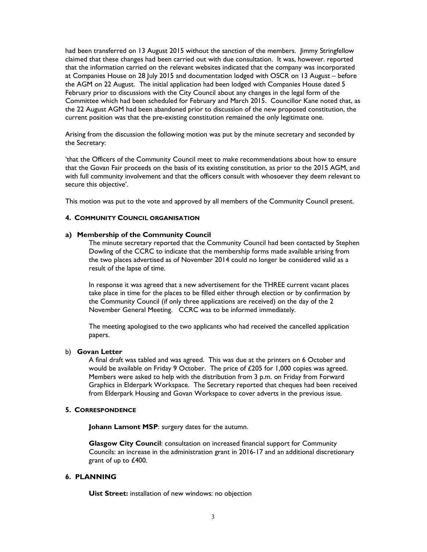had been transferred on 13 August 2015 without the sanction of the members. Jimmy Stringfellow claimed that these changes had been carried out with due consultation. It was, however. reported that the information carried on the relevant websites indicated that the company was incorporated at Companies House on 28 July 2015 and documentation lodged with OSCR on 13 August – before the AGM on 22 August. The initial application had been lodged with Companies House dated 5 February prior to discussions with the City Council about any changes in the legal form of the Committee which had been scheduled for February and March 2015. Councillor Kane noted that, as the 22 August AGM had been abandoned prior to discussion of the new proposed constitution, the current position was that the pre-existing constitution remained the only legitimate one.

Arising from the discussion the following motion was put by the minute secretary and seconded by the Secretary:

'that the Officers of the Community Council meet to make recommendations about how to ensure that the Govan Fair proceeds on the basis of its existing constitution, as prior to the 2015 AGM, and with full community involvement and that the officers consult with whosoever they deem relevant to secure this objective'.

This motion was put to the vote and approved by all members of the Community Council present.

#### 4. COMMUNITY COUNCIL ORGANISATION

#### a) Membership of the Community Council

The minute secretary reported that the Community Council had been contacted by Stephen Dowling of the CCRC to indicate that the membership forms made available arising from the two places advertised as of November 2014 could no longer be considered valid as a result of the lapse of time.

In response it was agreed that a new advertisement for the THREE current vacant places take place in time for the places to be filled either through election or by confirmation by the Community Council (if only three applications are received) on the day of the 2 November General Meeting. CCRC was to be informed immediately.

The meeting apologised to the two applicants who had received the cancelled application papers.

#### b) Govan Letter

A final draft was tabled and was agreed. This was due at the printers on 6 October and would be available on Friday 9 October. The price of £205 for 1,000 copies was agreed. Members were asked to help with the distribution from 3 p.m. on Friday from Forward Graphics in Elderpark Workspace. The Secretary reported that cheques had been received from Elderpark Housing and Govan Workspace to cover adverts in the previous issue.

#### 5. CORRESPONDENCE

Johann Lamont MSP: surgery dates for the autumn.

Glasgow City Council: consultation on increased financial support for Community Councils: an increase in the administration grant in 2016-17 and an additional discretionary grant of up to £400.

### 6. PLANNING

Uist Street: installation of new windows: no objection